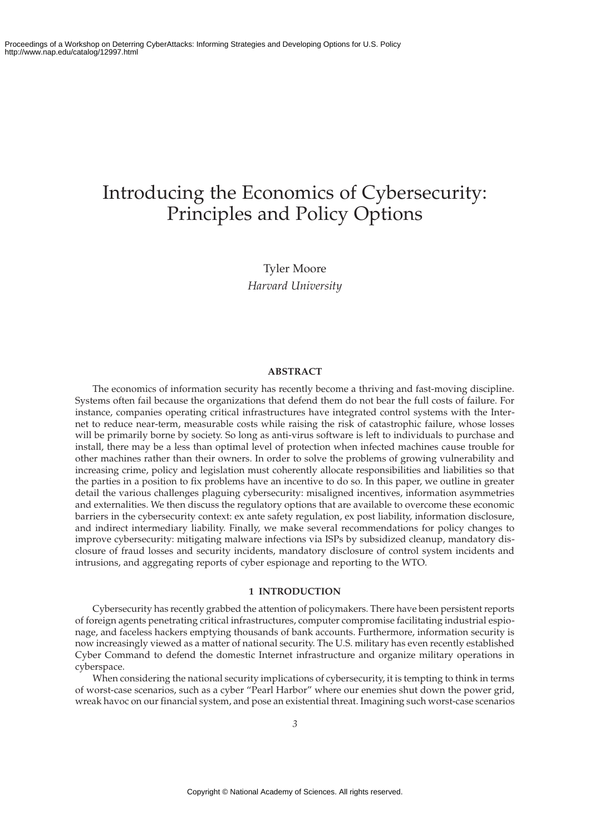# Introducing the Economics of Cybersecurity: Principles and Policy Options

Tyler Moore *Harvard University*

# **ABSTRACT**

The economics of information security has recently become a thriving and fast-moving discipline. Systems often fail because the organizations that defend them do not bear the full costs of failure. For instance, companies operating critical infrastructures have integrated control systems with the Internet to reduce near-term, measurable costs while raising the risk of catastrophic failure, whose losses will be primarily borne by society. So long as anti-virus software is left to individuals to purchase and install, there may be a less than optimal level of protection when infected machines cause trouble for other machines rather than their owners. In order to solve the problems of growing vulnerability and increasing crime, policy and legislation must coherently allocate responsibilities and liabilities so that the parties in a position to fix problems have an incentive to do so. In this paper, we outline in greater detail the various challenges plaguing cybersecurity: misaligned incentives, information asymmetries and externalities. We then discuss the regulatory options that are available to overcome these economic barriers in the cybersecurity context: ex ante safety regulation, ex post liability, information disclosure, and indirect intermediary liability. Finally, we make several recommendations for policy changes to improve cybersecurity: mitigating malware infections via ISPs by subsidized cleanup, mandatory disclosure of fraud losses and security incidents, mandatory disclosure of control system incidents and intrusions, and aggregating reports of cyber espionage and reporting to the WTO.

# **1 INTRODUCTION**

Cybersecurity has recently grabbed the attention of policymakers. There have been persistent reports of foreign agents penetrating critical infrastructures, computer compromise facilitating industrial espionage, and faceless hackers emptying thousands of bank accounts. Furthermore, information security is now increasingly viewed as a matter of national security. The U.S. military has even recently established Cyber Command to defend the domestic Internet infrastructure and organize military operations in cyberspace.

When considering the national security implications of cybersecurity, it is tempting to think in terms of worst-case scenarios, such as a cyber "Pearl Harbor" where our enemies shut down the power grid, wreak havoc on our financial system, and pose an existential threat. Imagining such worst-case scenarios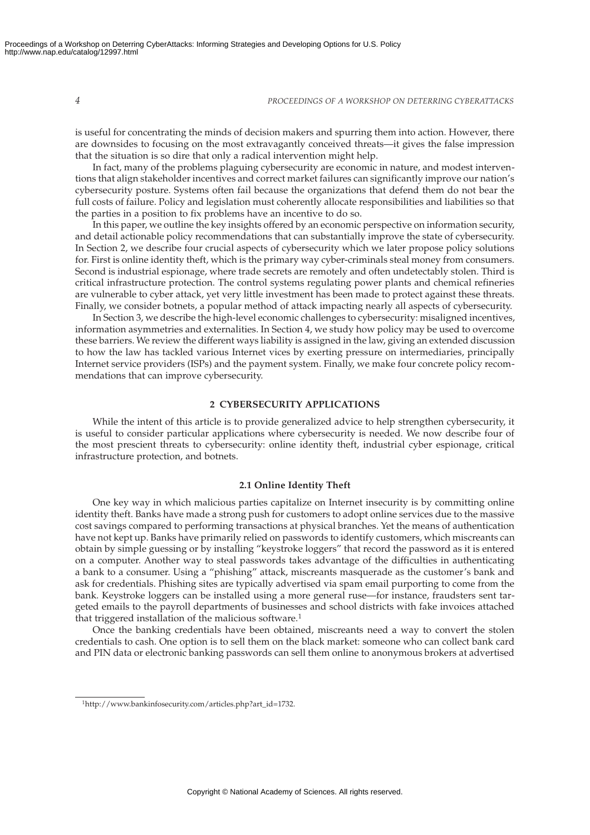is useful for concentrating the minds of decision makers and spurring them into action. However, there are downsides to focusing on the most extravagantly conceived threats—it gives the false impression that the situation is so dire that only a radical intervention might help.

In fact, many of the problems plaguing cybersecurity are economic in nature, and modest interventions that align stakeholder incentives and correct market failures can significantly improve our nation's cybersecurity posture. Systems often fail because the organizations that defend them do not bear the full costs of failure. Policy and legislation must coherently allocate responsibilities and liabilities so that the parties in a position to fix problems have an incentive to do so.

In this paper, we outline the key insights offered by an economic perspective on information security, and detail actionable policy recommendations that can substantially improve the state of cybersecurity. In Section 2, we describe four crucial aspects of cybersecurity which we later propose policy solutions for. First is online identity theft, which is the primary way cyber-criminals steal money from consumers. Second is industrial espionage, where trade secrets are remotely and often undetectably stolen. Third is critical infrastructure protection. The control systems regulating power plants and chemical refineries are vulnerable to cyber attack, yet very little investment has been made to protect against these threats. Finally, we consider botnets, a popular method of attack impacting nearly all aspects of cybersecurity.

In Section 3, we describe the high-level economic challenges to cybersecurity: misaligned incentives, information asymmetries and externalities. In Section 4, we study how policy may be used to overcome these barriers. We review the different ways liability is assigned in the law, giving an extended discussion to how the law has tackled various Internet vices by exerting pressure on intermediaries, principally Internet service providers (ISPs) and the payment system. Finally, we make four concrete policy recommendations that can improve cybersecurity.

# **2 CYBERSECURITY APPLICATIONS**

While the intent of this article is to provide generalized advice to help strengthen cybersecurity, it is useful to consider particular applications where cybersecurity is needed. We now describe four of the most prescient threats to cybersecurity: online identity theft, industrial cyber espionage, critical infrastructure protection, and botnets.

## **2.1 Online Identity Theft**

One key way in which malicious parties capitalize on Internet insecurity is by committing online identity theft. Banks have made a strong push for customers to adopt online services due to the massive cost savings compared to performing transactions at physical branches. Yet the means of authentication have not kept up. Banks have primarily relied on passwords to identify customers, which miscreants can obtain by simple guessing or by installing "keystroke loggers" that record the password as it is entered on a computer. Another way to steal passwords takes advantage of the difficulties in authenticating a bank to a consumer. Using a "phishing" attack, miscreants masquerade as the customer's bank and ask for credentials. Phishing sites are typically advertised via spam email purporting to come from the bank. Keystroke loggers can be installed using a more general ruse—for instance, fraudsters sent targeted emails to the payroll departments of businesses and school districts with fake invoices attached that triggered installation of the malicious software. 1

Once the banking credentials have been obtained, miscreants need a way to convert the stolen credentials to cash. One option is to sell them on the black market: someone who can collect bank card and PIN data or electronic banking passwords can sell them online to anonymous brokers at advertised

<sup>1</sup>http://www.bankinfosecurity.com/articles.php?art\_id=1732.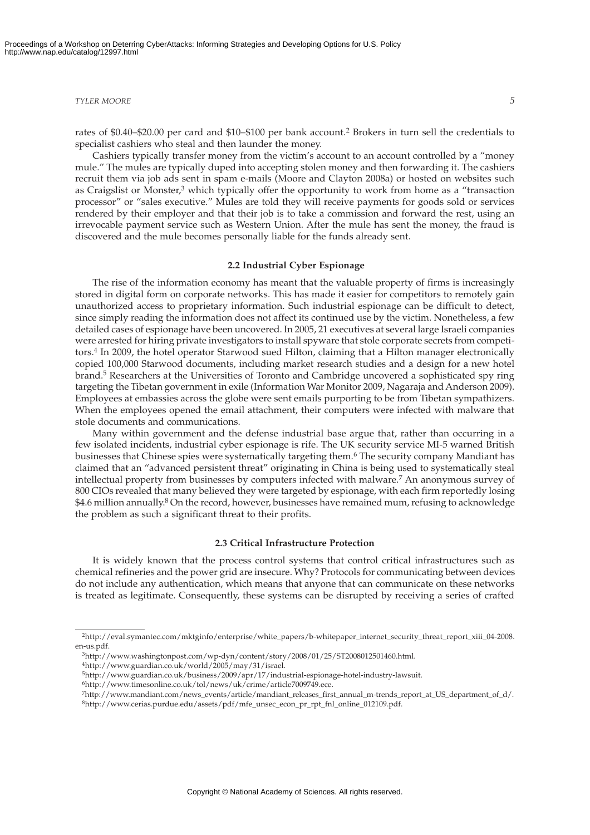rates of \$0.40–\$20.00 per card and \$10–\$100 per bank account. <sup>2</sup> Brokers in turn sell the credentials to specialist cashiers who steal and then launder the money.

Cashiers typically transfer money from the victim's account to an account controlled by a "money mule." The mules are typically duped into accepting stolen money and then forwarding it. The cashiers recruit them via job ads sent in spam e-mails (Moore and Clayton 2008a) or hosted on websites such as Craigslist or Monster, <sup>3</sup> which typically offer the opportunity to work from home as a "transaction processor" or "sales executive." Mules are told they will receive payments for goods sold or services rendered by their employer and that their job is to take a commission and forward the rest, using an irrevocable payment service such as Western Union. After the mule has sent the money, the fraud is discovered and the mule becomes personally liable for the funds already sent.

# **2.2 Industrial Cyber Espionage**

The rise of the information economy has meant that the valuable property of firms is increasingly stored in digital form on corporate networks. This has made it easier for competitors to remotely gain unauthorized access to proprietary information. Such industrial espionage can be difficult to detect, since simply reading the information does not affect its continued use by the victim. Nonetheless, a few detailed cases of espionage have been uncovered. In 2005, 21 executives at several large Israeli companies were arrested for hiring private investigators to install spyware that stole corporate secrets from competitors. 4 In 2009, the hotel operator Starwood sued Hilton, claiming that a Hilton manager electronically copied 100,000 Starwood documents, including market research studies and a design for a new hotel brand. <sup>5</sup> Researchers at the Universities of Toronto and Cambridge uncovered a sophisticated spy ring targeting the Tibetan government in exile (Information War Monitor 2009, Nagaraja and Anderson 2009). Employees at embassies across the globe were sent emails purporting to be from Tibetan sympathizers. When the employees opened the email attachment, their computers were infected with malware that stole documents and communications.

Many within government and the defense industrial base argue that, rather than occurring in a few isolated incidents, industrial cyber espionage is rife. The UK security service MI-5 warned British businesses that Chinese spies were systematically targeting them. <sup>6</sup> The security company Mandiant has claimed that an "advanced persistent threat" originating in China is being used to systematically steal intellectual property from businesses by computers infected with malware. <sup>7</sup> An anonymous survey of 800 CIOs revealed that many believed they were targeted by espionage, with each firm reportedly losing  $$4.6$  million annually. $^{8}$  On the record, however, businesses have remained mum, refusing to acknowledge the problem as such a significant threat to their profits.

## **2.3 Critical Infrastructure Protection**

It is widely known that the process control systems that control critical infrastructures such as chemical refineries and the power grid are insecure. Why? Protocols for communicating between devices do not include any authentication, which means that anyone that can communicate on these networks is treated as legitimate. Consequently, these systems can be disrupted by receiving a series of crafted

<sup>2</sup>http://eval.symantec.com/mktginfo/enterprise/white\_papers/b-whitepaper\_internet\_security\_threat\_report\_xiii\_04-2008. en-us.pdf.

<sup>3</sup>http://www.washingtonpost.com/wp-dyn/content/story/2008/01/25/ST2008012501460.html.

<sup>4</sup>http://www.guardian.co.uk/world/2005/may/31/israel.

<sup>5</sup>http://www.guardian.co.uk/business/2009/apr/17/industrial-espionage-hotel-industry-lawsuit.

<sup>6</sup>http://www.timesonline.co.uk/tol/news/uk/crime/article7009749.ece.

<sup>7</sup>http://www.mandiant.com/news\_events/article/mandiant\_releases\_first\_annual\_m-trends\_report\_at\_US\_department\_of\_d/. 8http://www.cerias.purdue.edu/assets/pdf/mfe\_unsec\_econ\_pr\_rpt\_fnl\_online\_012109.pdf.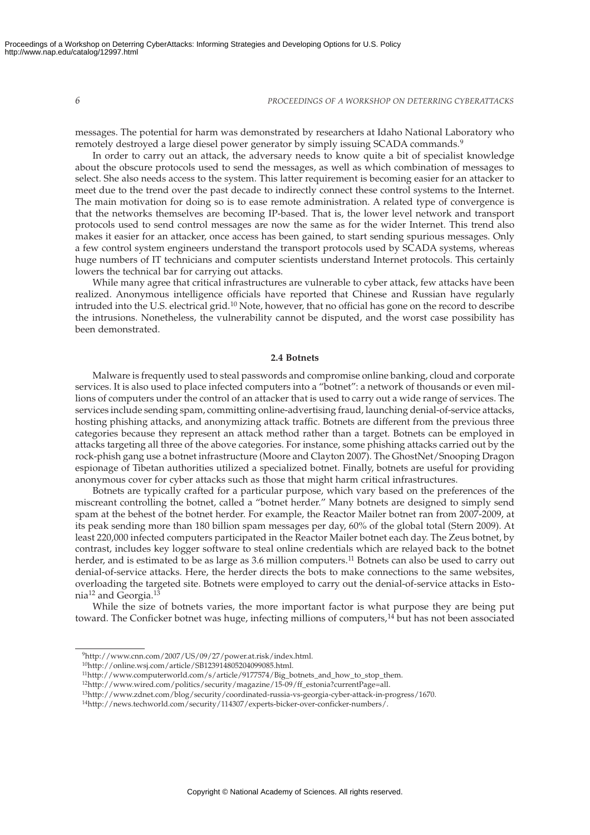messages. The potential for harm was demonstrated by researchers at Idaho National Laboratory who remotely destroyed a large diesel power generator by simply issuing SCADA commands. 9

In order to carry out an attack, the adversary needs to know quite a bit of specialist knowledge about the obscure protocols used to send the messages, as well as which combination of messages to select. She also needs access to the system. This latter requirement is becoming easier for an attacker to meet due to the trend over the past decade to indirectly connect these control systems to the Internet. The main motivation for doing so is to ease remote administration. A related type of convergence is that the networks themselves are becoming IP-based. That is, the lower level network and transport protocols used to send control messages are now the same as for the wider Internet. This trend also makes it easier for an attacker, once access has been gained, to start sending spurious messages. Only a few control system engineers understand the transport protocols used by SCADA systems, whereas huge numbers of IT technicians and computer scientists understand Internet protocols. This certainly lowers the technical bar for carrying out attacks.

While many agree that critical infrastructures are vulnerable to cyber attack, few attacks have been realized. Anonymous intelligence officials have reported that Chinese and Russian have regularly intruded into the U.S. electrical grid. $^{10}$  Note, however, that no official has gone on the record to describe the intrusions. Nonetheless, the vulnerability cannot be disputed, and the worst case possibility has been demonstrated.

#### **2.4 Botnets**

Malware is frequently used to steal passwords and compromise online banking, cloud and corporate services. It is also used to place infected computers into a "botnet": a network of thousands or even millions of computers under the control of an attacker that is used to carry out a wide range of services. The services include sending spam, committing online-advertising fraud, launching denial-of-service attacks, hosting phishing attacks, and anonymizing attack traffic. Botnets are different from the previous three categories because they represent an attack method rather than a target. Botnets can be employed in attacks targeting all three of the above categories. For instance, some phishing attacks carried out by the rock-phish gang use a botnet infrastructure (Moore and Clayton 2007). The GhostNet/Snooping Dragon espionage of Tibetan authorities utilized a specialized botnet. Finally, botnets are useful for providing anonymous cover for cyber attacks such as those that might harm critical infrastructures.

Botnets are typically crafted for a particular purpose, which vary based on the preferences of the miscreant controlling the botnet, called a "botnet herder." Many botnets are designed to simply send spam at the behest of the botnet herder. For example, the Reactor Mailer botnet ran from 2007-2009, at its peak sending more than 180 billion spam messages per day, 60% of the global total (Stern 2009). At least 220,000 infected computers participated in the Reactor Mailer botnet each day. The Zeus botnet, by contrast, includes key logger software to steal online credentials which are relayed back to the botnet herder, and is estimated to be as large as 3.6 million computers. <sup>11</sup> Botnets can also be used to carry out denial-of-service attacks. Here, the herder directs the bots to make connections to the same websites, overloading the targeted site. Botnets were employed to carry out the denial-of-service attacks in Estonia <sup>12</sup> and Georgia. 13

While the size of botnets varies, the more important factor is what purpose they are being put toward. The Conficker botnet was huge, infecting millions of computers, <sup>14</sup> but has not been associated

<sup>12</sup>http://www.wired.com/politics/security/magazine/15-09/ff\_estonia?currentPage=all.

<sup>9</sup>http://www.cnn.com/2007/US/09/27/power.at.risk/index.html.

<sup>10</sup>http://online.wsj.com/article/SB123914805204099085.html.

<sup>11</sup>http://www.computerworld.com/s/article/9177574/Big\_botnets\_and\_how\_to\_stop\_them.

<sup>13</sup>http://www.zdnet.com/blog/security/coordinated-russia-vs-georgia-cyber-attack-in-progress/1670.

<sup>14</sup>http://news.techworld.com/security/114307/experts-bicker-over-conficker-numbers/.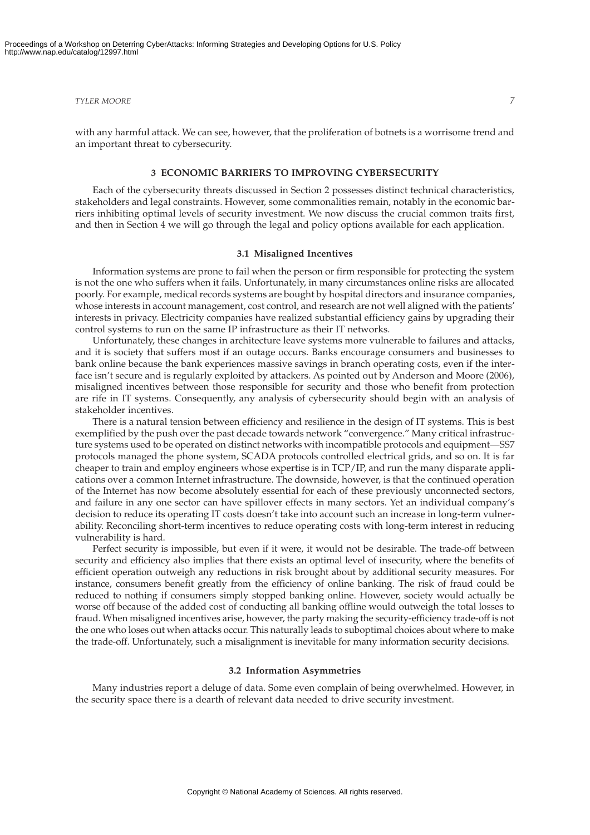with any harmful attack. We can see, however, that the proliferation of botnets is a worrisome trend and an important threat to cybersecurity.

# **3 ECONOMIC BARRIERS TO IMPROVING CYBERSECURITY**

Each of the cybersecurity threats discussed in Section 2 possesses distinct technical characteristics, stakeholders and legal constraints. However, some commonalities remain, notably in the economic barriers inhibiting optimal levels of security investment. We now discuss the crucial common traits first, and then in Section 4 we will go through the legal and policy options available for each application.

# **3.1 Misaligned Incentives**

Information systems are prone to fail when the person or firm responsible for protecting the system is not the one who suffers when it fails. Unfortunately, in many circumstances online risks are allocated poorly. For example, medical records systems are bought by hospital directors and insurance companies, whose interests in account management, cost control, and research are not well aligned with the patients' interests in privacy. Electricity companies have realized substantial efficiency gains by upgrading their control systems to run on the same IP infrastructure as their IT networks.

Unfortunately, these changes in architecture leave systems more vulnerable to failures and attacks, and it is society that suffers most if an outage occurs. Banks encourage consumers and businesses to bank online because the bank experiences massive savings in branch operating costs, even if the interface isn't secure and is regularly exploited by attackers. As pointed out by Anderson and Moore (2006), misaligned incentives between those responsible for security and those who benefit from protection are rife in IT systems. Consequently, any analysis of cybersecurity should begin with an analysis of stakeholder incentives.

There is a natural tension between efficiency and resilience in the design of IT systems. This is best exemplified by the push over the past decade towards network "convergence." Many critical infrastructure systems used to be operated on distinct networks with incompatible protocols and equipment—SS7 protocols managed the phone system, SCADA protocols controlled electrical grids, and so on. It is far cheaper to train and employ engineers whose expertise is in TCP/IP, and run the many disparate applications over a common Internet infrastructure. The downside, however, is that the continued operation of the Internet has now become absolutely essential for each of these previously unconnected sectors, and failure in any one sector can have spillover effects in many sectors. Yet an individual company's decision to reduce its operating IT costs doesn't take into account such an increase in long-term vulnerability. Reconciling short-term incentives to reduce operating costs with long-term interest in reducing vulnerability is hard.

Perfect security is impossible, but even if it were, it would not be desirable. The trade-off between security and efficiency also implies that there exists an optimal level of insecurity, where the benefits of efficient operation outweigh any reductions in risk brought about by additional security measures. For instance, consumers benefit greatly from the efficiency of online banking. The risk of fraud could be reduced to nothing if consumers simply stopped banking online. However, society would actually be worse off because of the added cost of conducting all banking offline would outweigh the total losses to fraud. When misaligned incentives arise, however, the party making the security-efficiency trade-off is not the one who loses out when attacks occur. This naturally leads to suboptimal choices about where to make the trade-off. Unfortunately, such a misalignment is inevitable for many information security decisions.

## **3.2 Information Asymmetries**

Many industries report a deluge of data. Some even complain of being overwhelmed. However, in the security space there is a dearth of relevant data needed to drive security investment.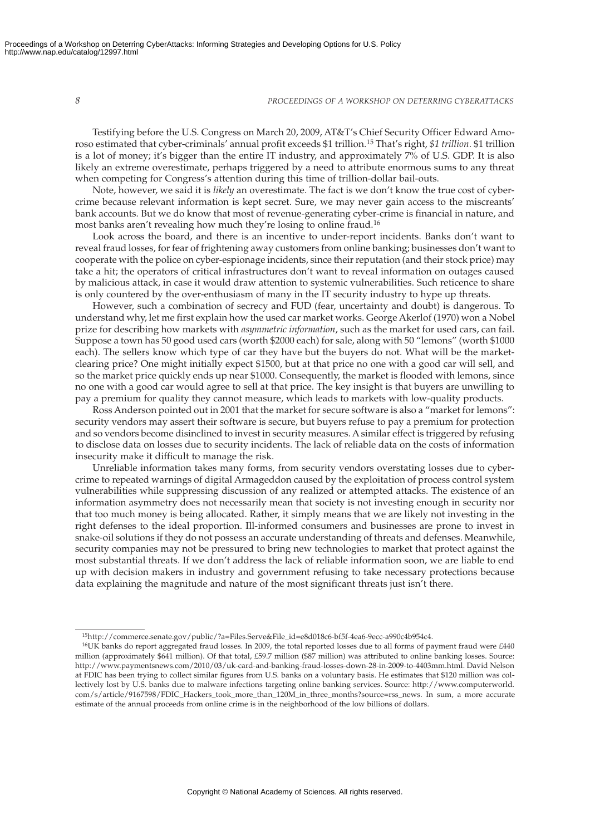Testifying before the U.S. Congress on March 20, 2009, AT&T's Chief Security Officer Edward Amoroso estimated that cyber-criminals' annual profit exceeds \$1 trillion. <sup>15</sup> That's right, *\$1 trillion*. \$1 trillion is a lot of money; it's bigger than the entire IT industry, and approximately 7% of U.S. GDP. It is also likely an extreme overestimate, perhaps triggered by a need to attribute enormous sums to any threat when competing for Congress's attention during this time of trillion-dollar bail-outs.

Note, however, we said it is *likely* an overestimate. The fact is we don't know the true cost of cybercrime because relevant information is kept secret. Sure, we may never gain access to the miscreants' bank accounts. But we do know that most of revenue-generating cyber-crime is financial in nature, and most banks aren't revealing how much they're losing to online fraud. 16

Look across the board, and there is an incentive to under-report incidents. Banks don't want to reveal fraud losses, for fear of frightening away customers from online banking; businesses don't want to cooperate with the police on cyber-espionage incidents, since their reputation (and their stock price) may take a hit; the operators of critical infrastructures don't want to reveal information on outages caused by malicious attack, in case it would draw attention to systemic vulnerabilities. Such reticence to share is only countered by the over-enthusiasm of many in the IT security industry to hype up threats.

However, such a combination of secrecy and FUD (fear, uncertainty and doubt) is dangerous. To understand why, let me first explain how the used car market works. George Akerlof (1970) won a Nobel prize for describing how markets with *asymmetric information*, such as the market for used cars, can fail. Suppose a town has 50 good used cars (worth \$2000 each) for sale, along with 50 "lemons" (worth \$1000 each). The sellers know which type of car they have but the buyers do not. What will be the marketclearing price? One might initially expect \$1500, but at that price no one with a good car will sell, and so the market price quickly ends up near \$1000. Consequently, the market is flooded with lemons, since no one with a good car would agree to sell at that price. The key insight is that buyers are unwilling to pay a premium for quality they cannot measure, which leads to markets with low-quality products.

Ross Anderson pointed out in 2001 that the market for secure software is also a "market for lemons": security vendors may assert their software is secure, but buyers refuse to pay a premium for protection and so vendors become disinclined to invest in security measures. Asimilar effect is triggered by refusing to disclose data on losses due to security incidents. The lack of reliable data on the costs of information insecurity make it difficult to manage the risk.

Unreliable information takes many forms, from security vendors overstating losses due to cybercrime to repeated warnings of digital Armageddon caused by the exploitation of process control system vulnerabilities while suppressing discussion of any realized or attempted attacks. The existence of an information asymmetry does not necessarily mean that society is not investing enough in security nor that too much money is being allocated. Rather, it simply means that we are likely not investing in the right defenses to the ideal proportion. Ill-informed consumers and businesses are prone to invest in snake-oil solutions if they do not possess an accurate understanding of threats and defenses. Meanwhile, security companies may not be pressured to bring new technologies to market that protect against the most substantial threats. If we don't address the lack of reliable information soon, we are liable to end up with decision makers in industry and government refusing to take necessary protections because data explaining the magnitude and nature of the most significant threats just isn't there.

<sup>15</sup>http://commerce.senate.gov/public/?a=Files.Serve&File\_id=e8d018c6-bf5f-4ea6-9ecc-a990c4b954c4.

<sup>16</sup>UK banks do report aggregated fraud losses. In 2009, the total reported losses due to all forms of payment fraud were £440 million (approximately \$641 million). Of that total, £59.7 million (\$87 million) was attributed to online banking losses. Source: http://www.paymentsnews.com/2010/03/uk-card-and-banking-fraud-losses-down-28-in-2009-to-4403mm.html. David Nelson at FDIC has been trying to collect similar figures from U.S. banks on a voluntary basis. He estimates that \$120 million was collectively lost by U.S. banks due to malware infections targeting online banking services. Source: http://www.computerworld. com/s/article/9167598/FDIC\_Hackers\_took\_more\_than\_120M\_in\_three\_months?source=rss\_news. In sum, a more accurate estimate of the annual proceeds from online crime is in the neighborhood of the low billions of dollars.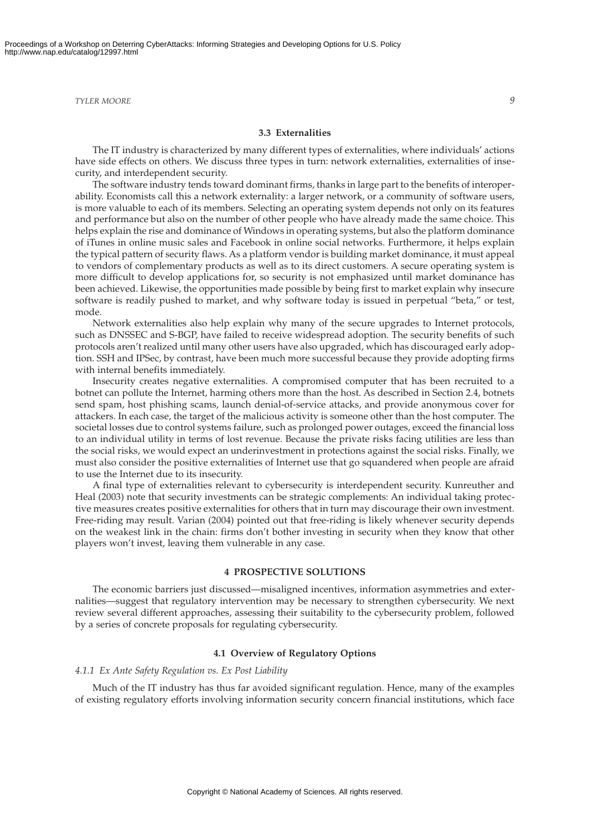#### **3.3 Externalities**

The IT industry is characterized by many different types of externalities, where individuals' actions have side effects on others. We discuss three types in turn: network externalities, externalities of insecurity, and interdependent security.

The software industry tends toward dominant firms, thanks in large part to the benefits of interoperability. Economists call this a network externality: a larger network, or a community of software users, is more valuable to each of its members. Selecting an operating system depends not only on its features and performance but also on the number of other people who have already made the same choice. This helps explain the rise and dominance of Windows in operating systems, but also the platform dominance of iTunes in online music sales and Facebook in online social networks. Furthermore, it helps explain the typical pattern of security flaws. As a platform vendor is building market dominance, it must appeal to vendors of complementary products as well as to its direct customers. A secure operating system is more difficult to develop applications for, so security is not emphasized until market dominance has been achieved. Likewise, the opportunities made possible by being first to market explain why insecure software is readily pushed to market, and why software today is issued in perpetual "beta," or test, mode.

Network externalities also help explain why many of the secure upgrades to Internet protocols, such as DNSSEC and S-BGP, have failed to receive widespread adoption. The security benefits of such protocols aren't realized until many other users have also upgraded, which has discouraged early adoption. SSH and IPSec, by contrast, have been much more successful because they provide adopting firms with internal benefits immediately.

Insecurity creates negative externalities. A compromised computer that has been recruited to a botnet can pollute the Internet, harming others more than the host. As described in Section 2.4, botnets send spam, host phishing scams, launch denial-of-service attacks, and provide anonymous cover for attackers. In each case, the target of the malicious activity is someone other than the host computer. The societal losses due to control systems failure, such as prolonged power outages, exceed the financial loss to an individual utility in terms of lost revenue. Because the private risks facing utilities are less than the social risks, we would expect an underinvestment in protections against the social risks. Finally, we must also consider the positive externalities of Internet use that go squandered when people are afraid to use the Internet due to its insecurity.

A final type of externalities relevant to cybersecurity is interdependent security. Kunreuther and Heal (2003) note that security investments can be strategic complements: An individual taking protective measures creates positive externalities for others that in turn may discourage their own investment. Free-riding may result. Varian (2004) pointed out that free-riding is likely whenever security depends on the weakest link in the chain: firms don't bother investing in security when they know that other players won't invest, leaving them vulnerable in any case.

# **4 PROSPECTIVE SOLUTIONS**

The economic barriers just discussed—misaligned incentives, information asymmetries and externalities—suggest that regulatory intervention may be necessary to strengthen cybersecurity. We next review several different approaches, assessing their suitability to the cybersecurity problem, followed by a series of concrete proposals for regulating cybersecurity.

## **4.1 Overview of Regulatory Options**

# *4.1.1 Ex Ante Safety Regulation vs. Ex Post Liability*

Much of the IT industry has thus far avoided significant regulation. Hence, many of the examples of existing regulatory efforts involving information security concern financial institutions, which face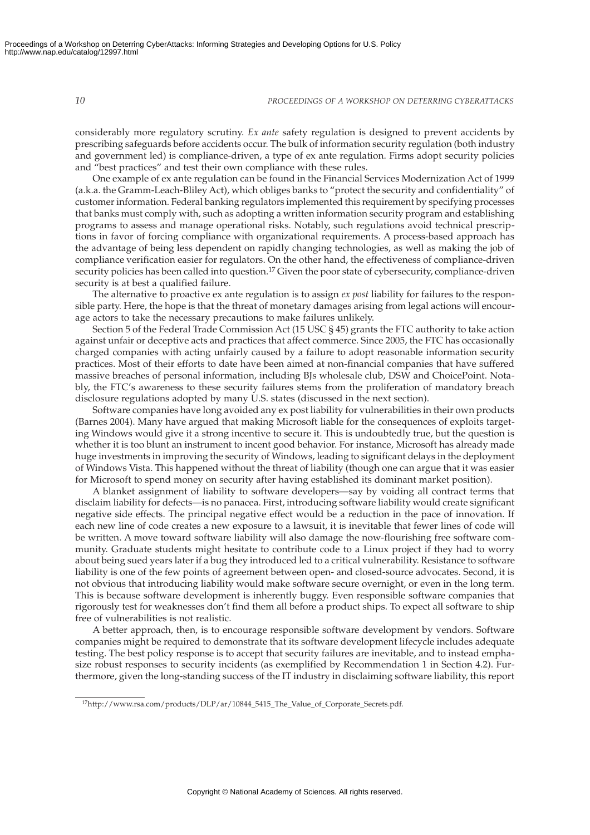considerably more regulatory scrutiny. *Ex ante* safety regulation is designed to prevent accidents by prescribing safeguards before accidents occur. The bulk of information security regulation (both industry and government led) is compliance-driven, a type of ex ante regulation. Firms adopt security policies and "best practices" and test their own compliance with these rules.

One example of ex ante regulation can be found in the Financial Services Modernization Act of 1999 (a.k.a. the Gramm-Leach-Bliley Act), which obliges banks to "protect the security and confidentiality" of customerinformation. Federal banking regulators implemented this requirement by specifying processes that banks must comply with, such as adopting a written information security program and establishing programs to assess and manage operational risks. Notably, such regulations avoid technical prescriptions in favor of forcing compliance with organizational requirements. A process-based approach has the advantage of being less dependent on rapidly changing technologies, as well as making the job of compliance verification easier for regulators. On the other hand, the effectiveness of compliance-driven security policies has been called into question.<sup>17</sup> Given the poor state of cybersecurity, compliance-driven security is at best a qualified failure.

The alternative to proactive ex ante regulation is to assign *ex post* liability for failures to the responsible party. Here, the hope is that the threat of monetary damages arising from legal actions will encourage actors to take the necessary precautions to make failures unlikely.

Section 5 of the Federal Trade Commission Act (15 USC § 45) grants the FTC authority to take action against unfair or deceptive acts and practices that affect commerce. Since 2005, the FTC has occasionally charged companies with acting unfairly caused by a failure to adopt reasonable information security practices. Most of their efforts to date have been aimed at non-financial companies that have suffered massive breaches of personal information, including BJs wholesale club, DSW and ChoicePoint. Notably, the FTC's awareness to these security failures stems from the proliferation of mandatory breach disclosure regulations adopted by many U.S. states (discussed in the next section).

Software companies have long avoided any ex post liability for vulnerabilities in their own products (Barnes 2004). Many have argued that making Microsoft liable for the consequences of exploits targeting Windows would give it a strong incentive to secure it. This is undoubtedly true, but the question is whether it is too blunt an instrument to incent good behavior. For instance, Microsoft has already made huge investments in improving the security of Windows, leading to significant delays in the deployment of Windows Vista. This happened without the threat of liability (though one can argue that it was easier for Microsoft to spend money on security after having established its dominant market position).

A blanket assignment of liability to software developers—say by voiding all contract terms that disclaim liability for defects—is no panacea. First, introducing software liability would create significant negative side effects. The principal negative effect would be a reduction in the pace of innovation. If each new line of code creates a new exposure to a lawsuit, it is inevitable that fewer lines of code will be written. A move toward software liability will also damage the now-flourishing free software community. Graduate students might hesitate to contribute code to a Linux project if they had to worry about being sued years later if a bug they introduced led to a critical vulnerability. Resistance to software liability is one of the few points of agreement between open- and closed-source advocates. Second, it is not obvious that introducing liability would make software secure overnight, or even in the long term. This is because software development is inherently buggy. Even responsible software companies that rigorously test for weaknesses don't find them all before a product ships. To expect all software to ship free of vulnerabilities is not realistic.

A better approach, then, is to encourage responsible software development by vendors. Software companies might be required to demonstrate that its software development lifecycle includes adequate testing. The best policy response is to accept that security failures are inevitable, and to instead emphasize robust responses to security incidents (as exemplified by Recommendation 1 in Section 4.2). Furthermore, given the long-standing success of the IT industry in disclaiming software liability, this report

<sup>17</sup>http://www.rsa.com/products/DLP/ar/10844\_5415\_The\_Value\_of\_Corporate\_Secrets.pdf.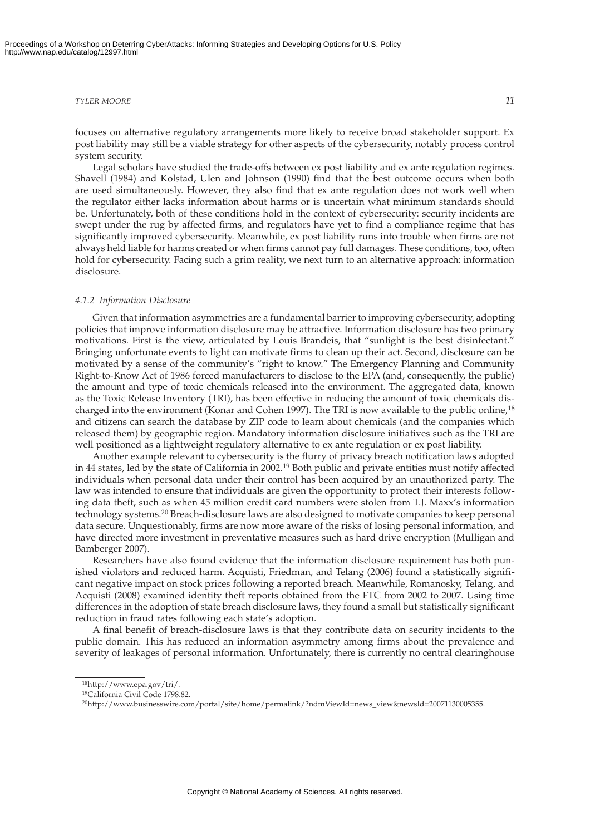focuses on alternative regulatory arrangements more likely to receive broad stakeholder support. Ex post liability may still be a viable strategy for other aspects of the cybersecurity, notably process control system security.

Legal scholars have studied the trade-offs between ex post liability and ex ante regulation regimes. Shavell (1984) and Kolstad, Ulen and Johnson (1990) find that the best outcome occurs when both are used simultaneously. However, they also find that ex ante regulation does not work well when the regulator either lacks information about harms or is uncertain what minimum standards should be. Unfortunately, both of these conditions hold in the context of cybersecurity: security incidents are swept under the rug by affected firms, and regulators have yet to find a compliance regime that has significantly improved cybersecurity. Meanwhile, ex post liability runs into trouble when firms are not always held liable for harms created or when firms cannot pay full damages. These conditions, too, often hold for cybersecurity. Facing such a grim reality, we next turn to an alternative approach: information disclosure.

## *4.1.2 Information Disclosure*

Given that information asymmetries are a fundamental barrier to improving cybersecurity, adopting policies that improve information disclosure may be attractive. Information disclosure has two primary motivations. First is the view, articulated by Louis Brandeis, that "sunlight is the best disinfectant." Bringing unfortunate events to light can motivate firms to clean up their act. Second, disclosure can be motivated by a sense of the community's "right to know." The Emergency Planning and Community Right-to-Know Act of 1986 forced manufacturers to disclose to the EPA (and, consequently, the public) the amount and type of toxic chemicals released into the environment. The aggregated data, known as the Toxic Release Inventory (TRI), has been effective in reducing the amount of toxic chemicals discharged into the environment (Konar and Cohen 1997). The TRI is now available to the public online, <sup>18</sup> and citizens can search the database by ZIP code to learn about chemicals (and the companies which released them) by geographic region. Mandatory information disclosure initiatives such as the TRI are well positioned as a lightweight regulatory alternative to ex ante regulation or ex post liability.

Another example relevant to cybersecurity is the flurry of privacy breach notification laws adopted in 44 states, led by the state of California in 2002. <sup>19</sup> Both public and private entities must notify affected individuals when personal data under their control has been acquired by an unauthorized party. The law was intended to ensure that individuals are given the opportunity to protect their interests following data theft, such as when 45 million credit card numbers were stolen from T.J. Maxx's information technology systems. <sup>20</sup> Breach-disclosure laws are also designed to motivate companies to keep personal data secure. Unquestionably, firms are now more aware of the risks of losing personal information, and have directed more investment in preventative measures such as hard drive encryption (Mulligan and Bamberger 2007).

Researchers have also found evidence that the information disclosure requirement has both punished violators and reduced harm. Acquisti, Friedman, and Telang (2006) found a statistically significant negative impact on stock prices following a reported breach. Meanwhile, Romanosky, Telang, and Acquisti (2008) examined identity theft reports obtained from the FTC from 2002 to 2007. Using time differences in the adoption of state breach disclosure laws, they found a small but statistically significant reduction in fraud rates following each state's adoption.

A final benefit of breach-disclosure laws is that they contribute data on security incidents to the public domain. This has reduced an information asymmetry among firms about the prevalence and severity of leakages of personal information. Unfortunately, there is currently no central clearinghouse

<sup>18</sup>http://www.epa.gov/tri/.

<sup>19</sup>California Civil Code 1798.82.

<sup>20</sup>http://www.businesswire.com/portal/site/home/permalink/?ndmViewId=news\_view&newsId=20071130005355.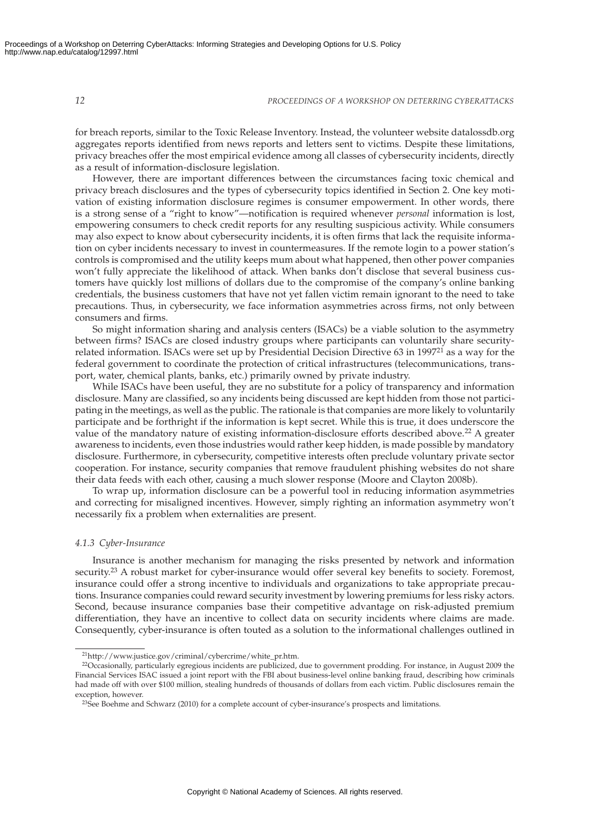for breach reports, similar to the Toxic Release Inventory. Instead, the volunteer website datalossdb.org aggregates reports identified from news reports and letters sent to victims. Despite these limitations, privacy breaches offer the most empirical evidence among all classes of cybersecurity incidents, directly as a result of information-disclosure legislation.

However, there are important differences between the circumstances facing toxic chemical and privacy breach disclosures and the types of cybersecurity topics identified in Section 2. One key motivation of existing information disclosure regimes is consumer empowerment. In other words, there is a strong sense of a "right to know"—notification is required whenever *personal* information is lost, empowering consumers to check credit reports for any resulting suspicious activity. While consumers may also expect to know about cybersecurity incidents, it is often firms that lack the requisite information on cyber incidents necessary to invest in countermeasures. If the remote login to a power station's controls is compromised and the utility keeps mum about what happened, then other power companies won't fully appreciate the likelihood of attack. When banks don't disclose that several business customers have quickly lost millions of dollars due to the compromise of the company's online banking credentials, the business customers that have not yet fallen victim remain ignorant to the need to take precautions. Thus, in cybersecurity, we face information asymmetries across firms, not only between consumers and firms.

So might information sharing and analysis centers (ISACs) be a viable solution to the asymmetry between firms? ISACs are closed industry groups where participants can voluntarily share securityrelated information. ISACs were set up by Presidential Decision Directive 63 in 1997<sup>21</sup> as a way for the federal government to coordinate the protection of critical infrastructures (telecommunications, transport, water, chemical plants, banks, etc.) primarily owned by private industry.

While ISACs have been useful, they are no substitute for a policy of transparency and information disclosure. Many are classified, so any incidents being discussed are kept hidden from those not participating in the meetings, as well as the public. The rationale is that companies are more likely to voluntarily participate and be forthright if the information is kept secret. While this is true, it does underscore the value of the mandatory nature of existing information-disclosure efforts described above.<sup>22</sup> A greater awareness to incidents, even those industries would rather keep hidden, is made possible by mandatory disclosure. Furthermore, in cybersecurity, competitive interests often preclude voluntary private sector cooperation. For instance, security companies that remove fraudulent phishing websites do not share their data feeds with each other, causing a much slower response (Moore and Clayton 2008b).

To wrap up, information disclosure can be a powerful tool in reducing information asymmetries and correcting for misaligned incentives. However, simply righting an information asymmetry won't necessarily fix a problem when externalities are present.

# *4.1.3 Cyber-Insurance*

Insurance is another mechanism for managing the risks presented by network and information security.<sup>23</sup> A robust market for cyber-insurance would offer several key benefits to society. Foremost, insurance could offer a strong incentive to individuals and organizations to take appropriate precautions. Insurance companies could reward security investment by lowering premiums forless risky actors. Second, because insurance companies base their competitive advantage on risk-adjusted premium differentiation, they have an incentive to collect data on security incidents where claims are made. Consequently, cyber-insurance is often touted as a solution to the informational challenges outlined in

<sup>21</sup>http://www.justice.gov/criminal/cybercrime/white\_pr.htm.

<sup>22</sup>Occasionally, particularly egregious incidents are publicized, due to government prodding. For instance, in August 2009 the Financial Services ISAC issued a joint report with the FBI about business-level online banking fraud, describing how criminals had made off with over \$100 million, stealing hundreds of thousands of dollars from each victim. Public disclosures remain the exception, however.

<sup>&</sup>lt;sup>23</sup>See Boehme and Schwarz (2010) for a complete account of cyber-insurance's prospects and limitations.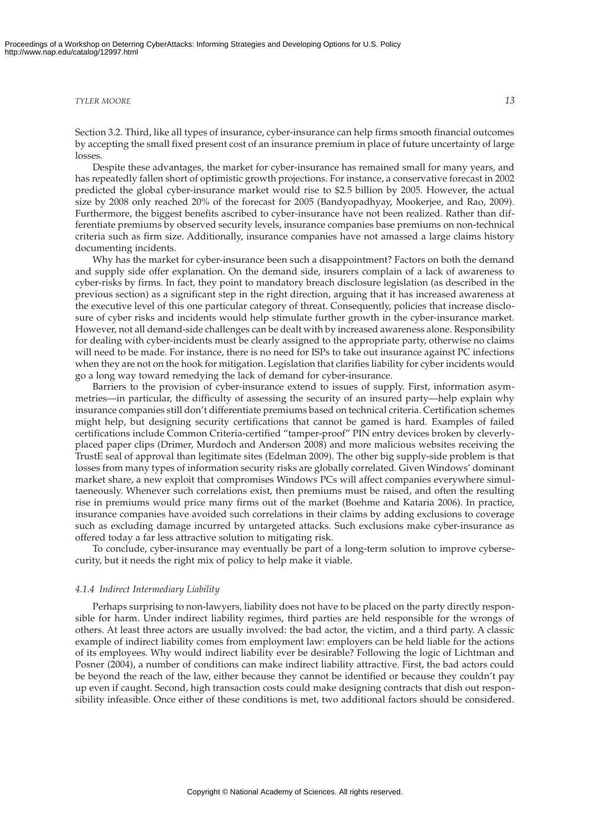Section 3.2. Third, like all types of insurance, cyber-insurance can help firms smooth financial outcomes by accepting the small fixed present cost of an insurance premium in place of future uncertainty of large losses.

Despite these advantages, the market for cyber-insurance has remained small for many years, and has repeatedly fallen short of optimistic growth projections. For instance, a conservative forecast in 2002 predicted the global cyber-insurance market would rise to \$2.5 billion by 2005. However, the actual size by 2008 only reached 20% of the forecast for 2005 (Bandyopadhyay, Mookerjee, and Rao, 2009). Furthermore, the biggest benefits ascribed to cyber-insurance have not been realized. Rather than differentiate premiums by observed security levels, insurance companies base premiums on non-technical criteria such as firm size. Additionally, insurance companies have not amassed a large claims history documenting incidents.

Why has the market for cyber-insurance been such a disappointment? Factors on both the demand and supply side offer explanation. On the demand side, insurers complain of a lack of awareness to cyber-risks by firms. In fact, they point to mandatory breach disclosure legislation (as described in the previous section) as a significant step in the right direction, arguing that it has increased awareness at the executive level of this one particular category of threat. Consequently, policies that increase disclosure of cyber risks and incidents would help stimulate further growth in the cyber-insurance market. However, not all demand-side challenges can be dealt with by increased awareness alone. Responsibility for dealing with cyber-incidents must be clearly assigned to the appropriate party, otherwise no claims will need to be made. For instance, there is no need for ISPs to take out insurance against PC infections when they are not on the hook for mitigation. Legislation that clarifies liability for cyber incidents would go a long way toward remedying the lack of demand for cyber-insurance.

Barriers to the provision of cyber-insurance extend to issues of supply. First, information asymmetries—in particular, the difficulty of assessing the security of an insured party—help explain why insurance companies still don't differentiate premiums based on technical criteria. Certification schemes might help, but designing security certifications that cannot be gamed is hard. Examples of failed certifications include Common Criteria-certified "tamper-proof" PIN entry devices broken by cleverlyplaced paper clips (Drimer, Murdoch and Anderson 2008) and more malicious websites receiving the TrustE seal of approval than legitimate sites (Edelman 2009). The other big supply-side problem is that losses from many types of information security risks are globally correlated. Given Windows' dominant market share, a new exploit that compromises Windows PCs will affect companies everywhere simultaeneously. Whenever such correlations exist, then premiums must be raised, and often the resulting rise in premiums would price many firms out of the market (Boehme and Kataria 2006). In practice, insurance companies have avoided such correlations in their claims by adding exclusions to coverage such as excluding damage incurred by untargeted attacks. Such exclusions make cyber-insurance as offered today a far less attractive solution to mitigating risk.

To conclude, cyber-insurance may eventually be part of a long-term solution to improve cybersecurity, but it needs the right mix of policy to help make it viable.

## *4.1.4 Indirect Intermediary Liability*

Perhaps surprising to non-lawyers, liability does not have to be placed on the party directly responsible for harm. Under indirect liability regimes, third parties are held responsible for the wrongs of others. At least three actors are usually involved: the bad actor, the victim, and a third party. A classic example of indirect liability comes from employment law: employers can be held liable for the actions of its employees. Why would indirect liability ever be desirable? Following the logic of Lichtman and Posner (2004), a number of conditions can make indirect liability attractive. First, the bad actors could be beyond the reach of the law, either because they cannot be identified or because they couldn't pay up even if caught. Second, high transaction costs could make designing contracts that dish out responsibility infeasible. Once either of these conditions is met, two additional factors should be considered.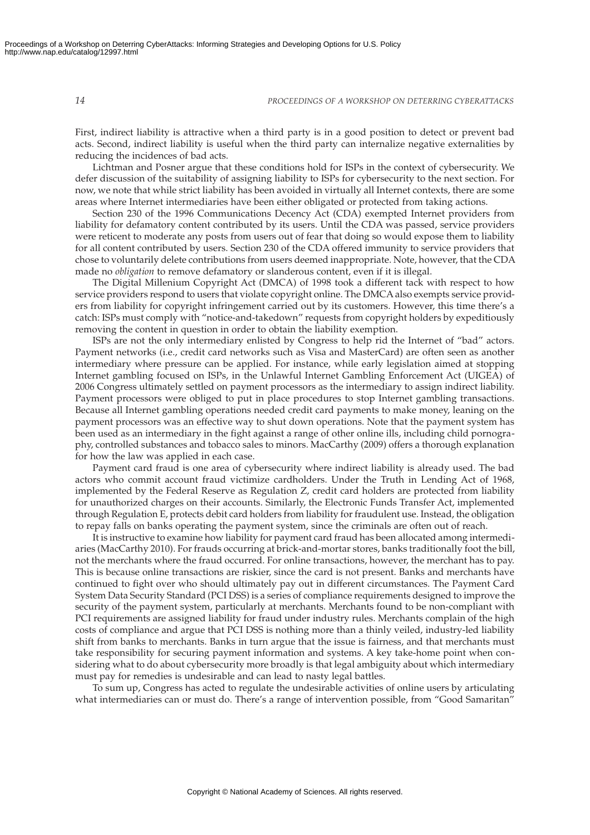First, indirect liability is attractive when a third party is in a good position to detect or prevent bad acts. Second, indirect liability is useful when the third party can internalize negative externalities by reducing the incidences of bad acts.

Lichtman and Posner argue that these conditions hold for ISPs in the context of cybersecurity. We defer discussion of the suitability of assigning liability to ISPs for cybersecurity to the next section. For now, we note that while strict liability has been avoided in virtually all Internet contexts, there are some areas where Internet intermediaries have been either obligated or protected from taking actions.

Section 230 of the 1996 Communications Decency Act (CDA) exempted Internet providers from liability for defamatory content contributed by its users. Until the CDA was passed, service providers were reticent to moderate any posts from users out of fear that doing so would expose them to liability for all content contributed by users. Section 230 of the CDA offered immunity to service providers that chose to voluntarily delete contributions from users deemed inappropriate. Note, however, that the CDA made no *obligation* to remove defamatory or slanderous content, even if it is illegal.

The Digital Millenium Copyright Act (DMCA) of 1998 took a different tack with respect to how service providers respond to users that violate copyright online. The DMCAalso exempts service providers from liability for copyright infringement carried out by its customers. However, this time there's a catch: ISPs must comply with "notice-and-takedown" requests from copyright holders by expeditiously removing the content in question in order to obtain the liability exemption.

ISPs are not the only intermediary enlisted by Congress to help rid the Internet of "bad" actors. Payment networks (i.e., credit card networks such as Visa and MasterCard) are often seen as another intermediary where pressure can be applied. For instance, while early legislation aimed at stopping Internet gambling focused on ISPs, in the Unlawful Internet Gambling Enforcement Act (UIGEA) of 2006 Congress ultimately settled on payment processors as the intermediary to assign indirect liability. Payment processors were obliged to put in place procedures to stop Internet gambling transactions. Because all Internet gambling operations needed credit card payments to make money, leaning on the payment processors was an effective way to shut down operations. Note that the payment system has been used as an intermediary in the fight against a range of other online ills, including child pornography, controlled substances and tobacco sales to minors. MacCarthy (2009) offers a thorough explanation for how the law was applied in each case.

Payment card fraud is one area of cybersecurity where indirect liability is already used. The bad actors who commit account fraud victimize cardholders. Under the Truth in Lending Act of 1968, implemented by the Federal Reserve as Regulation Z, credit card holders are protected from liability for unauthorized charges on their accounts. Similarly, the Electronic Funds Transfer Act, implemented through Regulation E, protects debit card holders from liability for fraudulent use. Instead, the obligation to repay falls on banks operating the payment system, since the criminals are often out of reach.

It is instructive to examine how liability for payment card fraud has been allocated among intermediaries (MacCarthy 2010). For frauds occurring at brick-and-mortar stores, banks traditionally foot the bill, not the merchants where the fraud occurred. For online transactions, however, the merchant has to pay. This is because online transactions are riskier, since the card is not present. Banks and merchants have continued to fight over who should ultimately pay out in different circumstances. The Payment Card System Data Security Standard (PCI DSS) is a series of compliance requirements designed to improve the security of the payment system, particularly at merchants. Merchants found to be non-compliant with PCI requirements are assigned liability for fraud under industry rules. Merchants complain of the high costs of compliance and argue that PCI DSS is nothing more than a thinly veiled, industry-led liability shift from banks to merchants. Banks in turn argue that the issue is fairness, and that merchants must take responsibility for securing payment information and systems. A key take-home point when considering what to do about cybersecurity more broadly is that legal ambiguity about which intermediary must pay for remedies is undesirable and can lead to nasty legal battles.

To sum up, Congress has acted to regulate the undesirable activities of online users by articulating what intermediaries can or must do. There's a range of intervention possible, from "Good Samaritan"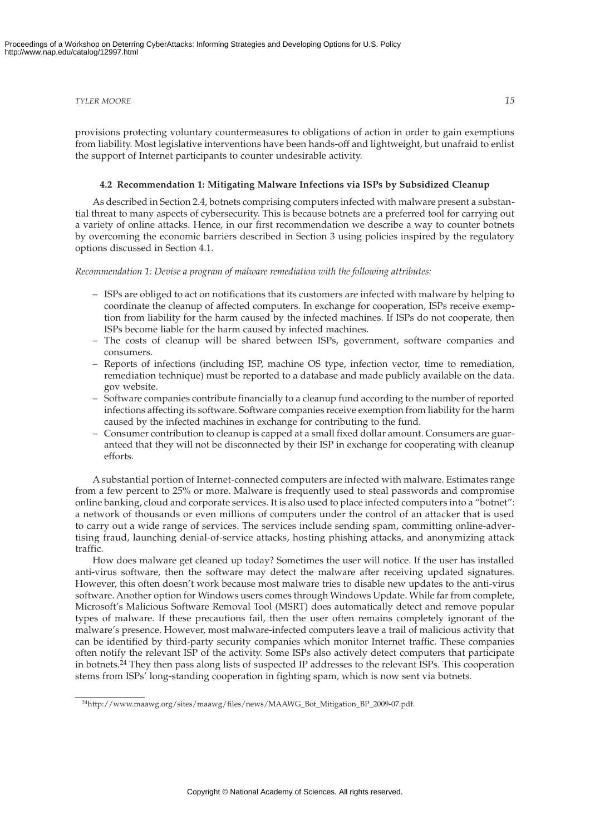provisions protecting voluntary countermeasures to obligations of action in order to gain exemptions from liability. Most legislative interventions have been hands-off and lightweight, but unafraid to enlist the support of Internet participants to counter undesirable activity.

# **4.2 Recommendation 1: Mitigating Malware Infections via ISPs by Subsidized Cleanup**

As described in Section 2.4, botnets comprising computers infected with malware present a substantial threat to many aspects of cybersecurity. This is because botnets are a preferred tool for carrying out a variety of online attacks. Hence, in our first recommendation we describe a way to counter botnets by overcoming the economic barriers described in Section 3 using policies inspired by the regulatory options discussed in Section 4.1.

*Recommendation 1: Devise a program of malware remediation with the following attributes:*

- ISPs are obliged to act on notifications that its customers are infected with malware by helping to coordinate the cleanup of affected computers. In exchange for cooperation, ISPs receive exemption from liability for the harm caused by the infected machines. If ISPs do not cooperate, then ISPs become liable for the harm caused by infected machines.
- The costs of cleanup will be shared between ISPs, government, software companies and consumers.
- Reports of infections (including ISP, machine OS type, infection vector, time to remediation, remediation technique) must be reported to a database and made publicly available on the data. gov website.
- Software companies contribute financially to a cleanup fund according to the number of reported infections affecting its software. Software companies receive exemption from liability for the harm caused by the infected machines in exchange for contributing to the fund.
- Consumer contribution to cleanup is capped at a small fixed dollar amount. Consumers are guaranteed that they will not be disconnected by their ISP in exchange for cooperating with cleanup efforts.

A substantial portion of Internet-connected computers are infected with malware. Estimates range from a few percent to 25% or more. Malware is frequently used to steal passwords and compromise online banking, cloud and corporate services. It is also used to place infected computers into a "botnet": a network of thousands or even millions of computers under the control of an attacker that is used to carry out a wide range of services. The services include sending spam, committing online-advertising fraud, launching denial-of-service attacks, hosting phishing attacks, and anonymizing attack traffic.

How does malware get cleaned up today? Sometimes the user will notice. If the user has installed anti-virus software, then the software may detect the malware after receiving updated signatures. However, this often doesn't work because most malware tries to disable new updates to the anti-virus software. Another option for Windows users comes through Windows Update. While far from complete, Microsoft's Malicious Software Removal Tool (MSRT) does automatically detect and remove popular types of malware. If these precautions fail, then the user often remains completely ignorant of the malware's presence. However, most malware-infected computers leave a trail of malicious activity that can be identified by third-party security companies which monitor Internet traffic. These companies often notify the relevant ISP of the activity. Some ISPs also actively detect computers that participate in botnets. <sup>24</sup> They then pass along lists of suspected IP addresses to the relevant ISPs. This cooperation stems from ISPs' long-standing cooperation in fighting spam, which is now sent via botnets.

<sup>24</sup>http://www.maawg.org/sites/maawg/files/news/MAAWG\_Bot\_Mitigation\_BP\_2009-07.pdf.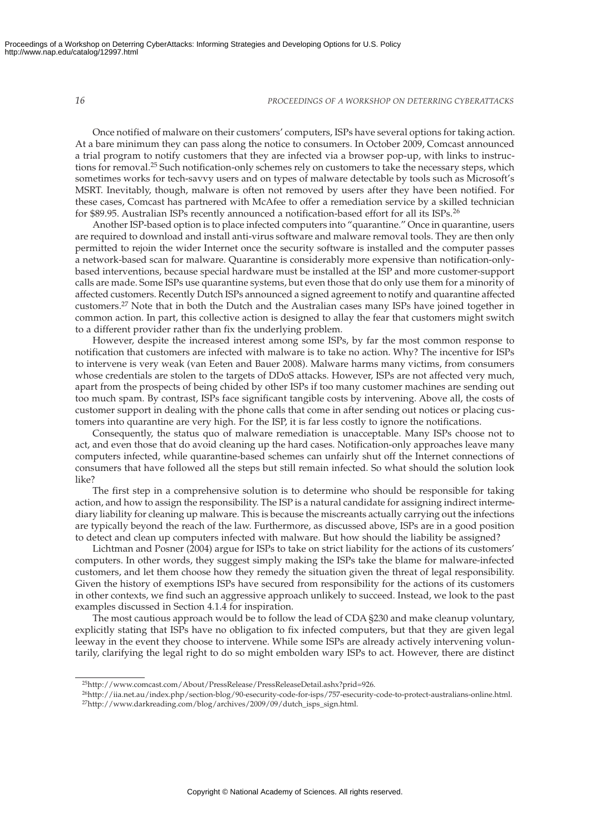Once notified of malware on their customers' computers, ISPs have several options for taking action. At a bare minimum they can pass along the notice to consumers. In October 2009, Comcast announced a trial program to notify customers that they are infected via a browser pop-up, with links to instructions for removal. <sup>25</sup> Such notification-only schemes rely on customers to take the necessary steps, which sometimes works for tech-savvy users and on types of malware detectable by tools such as Microsoft's MSRT. Inevitably, though, malware is often not removed by users after they have been notified. For these cases, Comcast has partnered with McAfee to offer a remediation service by a skilled technician for \$89.95. Australian ISPs recently announced a notification-based effort for all its ISPs. 26

AnotherISP-based option is to place infected computers into "quarantine." Once in quarantine, users are required to download and install anti-virus software and malware removal tools. They are then only permitted to rejoin the wider Internet once the security software is installed and the computer passes a network-based scan for malware. Quarantine is considerably more expensive than notification-onlybased interventions, because special hardware must be installed at the ISP and more customer-support calls are made. Some ISPs use quarantine systems, but even those that do only use them for a minority of affected customers. Recently Dutch ISPs announced a signed agreement to notify and quarantine affected customers. <sup>27</sup> Note that in both the Dutch and the Australian cases many ISPs have joined together in common action. In part, this collective action is designed to allay the fear that customers might switch to a different provider rather than fix the underlying problem.

However, despite the increased interest among some ISPs, by far the most common response to notification that customers are infected with malware is to take no action. Why? The incentive for ISPs to intervene is very weak (van Eeten and Bauer 2008). Malware harms many victims, from consumers whose credentials are stolen to the targets of DDoS attacks. However, ISPs are not affected very much, apart from the prospects of being chided by other ISPs if too many customer machines are sending out too much spam. By contrast, ISPs face significant tangible costs by intervening. Above all, the costs of customer support in dealing with the phone calls that come in after sending out notices or placing customers into quarantine are very high. For the ISP, it is far less costly to ignore the notifications.

Consequently, the status quo of malware remediation is unacceptable. Many ISPs choose not to act, and even those that do avoid cleaning up the hard cases. Notification-only approaches leave many computers infected, while quarantine-based schemes can unfairly shut off the Internet connections of consumers that have followed all the steps but still remain infected. So what should the solution look like?

The first step in a comprehensive solution is to determine who should be responsible for taking action, and how to assign the responsibility. The ISP is a natural candidate for assigning indirect intermediary liability for cleaning up malware. This is because the miscreants actually carrying out the infections are typically beyond the reach of the law. Furthermore, as discussed above, ISPs are in a good position to detect and clean up computers infected with malware. But how should the liability be assigned?

Lichtman and Posner (2004) argue for ISPs to take on strict liability for the actions of its customers' computers. In other words, they suggest simply making the ISPs take the blame for malware-infected customers, and let them choose how they remedy the situation given the threat of legal responsibility. Given the history of exemptions ISPs have secured from responsibility for the actions of its customers in other contexts, we find such an aggressive approach unlikely to succeed. Instead, we look to the past examples discussed in Section 4.1.4 for inspiration.

The most cautious approach would be to follow the lead of CDA §230 and make cleanup voluntary, explicitly stating that ISPs have no obligation to fix infected computers, but that they are given legal leeway in the event they choose to intervene. While some ISPs are already actively intervening voluntarily, clarifying the legal right to do so might embolden wary ISPs to act. However, there are distinct

- <sup>26</sup>http://iia.net.au/index.php/section-blog/90-esecurity-code-for-isps/757-esecurity-code-to-protect-australians-online.html.
- 27http://www.darkreading.com/blog/archives/2009/09/dutch\_isps\_sign.html.

Copyright © National Academy of Sciences. All rights reserved.

<sup>25</sup>http://www.comcast.com/About/PressRelease/PressReleaseDetail.ashx?prid=926.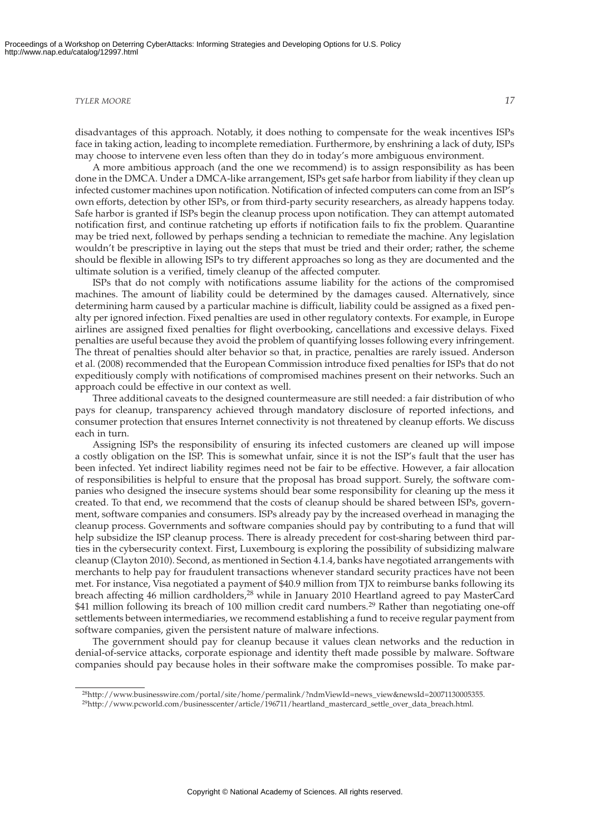disadvantages of this approach. Notably, it does nothing to compensate for the weak incentives ISPs face in taking action, leading to incomplete remediation. Furthermore, by enshrining a lack of duty, ISPs may choose to intervene even less often than they do in today's more ambiguous environment.

A more ambitious approach (and the one we recommend) is to assign responsibility as has been done in the DMCA. Under a DMCA-like arrangement, ISPs get safe harbor from liability if they clean up infected customer machines upon notification. Notification of infected computers can come from an ISP's own efforts, detection by other ISPs, or from third-party security researchers, as already happens today. Safe harbor is granted if ISPs begin the cleanup process upon notification. They can attempt automated notification first, and continue ratcheting up efforts if notification fails to fix the problem. Quarantine may be tried next, followed by perhaps sending a technician to remediate the machine. Any legislation wouldn't be prescriptive in laying out the steps that must be tried and their order; rather, the scheme should be flexible in allowing ISPs to try different approaches so long as they are documented and the ultimate solution is a verified, timely cleanup of the affected computer.

ISPs that do not comply with notifications assume liability for the actions of the compromised machines. The amount of liability could be determined by the damages caused. Alternatively, since determining harm caused by a particular machine is difficult, liability could be assigned as a fixed penalty per ignored infection. Fixed penalties are used in other regulatory contexts. For example, in Europe airlines are assigned fixed penalties for flight overbooking, cancellations and excessive delays. Fixed penalties are useful because they avoid the problem of quantifying losses following every infringement. The threat of penalties should alter behavior so that, in practice, penalties are rarely issued. Anderson et al. (2008) recommended that the European Commission introduce fixed penalties for ISPs that do not expeditiously comply with notifications of compromised machines present on their networks. Such an approach could be effective in our context as well.

Three additional caveats to the designed countermeasure are still needed: a fair distribution of who pays for cleanup, transparency achieved through mandatory disclosure of reported infections, and consumer protection that ensures Internet connectivity is not threatened by cleanup efforts. We discuss each in turn.

Assigning ISPs the responsibility of ensuring its infected customers are cleaned up will impose a costly obligation on the ISP. This is somewhat unfair, since it is not the ISP's fault that the user has been infected. Yet indirect liability regimes need not be fair to be effective. However, a fair allocation of responsibilities is helpful to ensure that the proposal has broad support. Surely, the software companies who designed the insecure systems should bear some responsibility for cleaning up the mess it created. To that end, we recommend that the costs of cleanup should be shared between ISPs, government, software companies and consumers. ISPs already pay by the increased overhead in managing the cleanup process. Governments and software companies should pay by contributing to a fund that will help subsidize the ISP cleanup process. There is already precedent for cost-sharing between third parties in the cybersecurity context. First, Luxembourg is exploring the possibility of subsidizing malware cleanup (Clayton 2010). Second, as mentioned in Section 4.1.4, banks have negotiated arrangements with merchants to help pay for fraudulent transactions whenever standard security practices have not been met. For instance, Visa negotiated a payment of \$40.9 million from TJX to reimburse banks following its breach affecting 46 million cardholders,<sup>28</sup> while in January 2010 Heartland agreed to pay MasterCard \$41 million following its breach of 100 million credit card numbers. <sup>29</sup> Rather than negotiating one-off settlements between intermediaries, we recommend establishing a fund to receive regular payment from software companies, given the persistent nature of malware infections.

The government should pay for cleanup because it values clean networks and the reduction in denial-of-service attacks, corporate espionage and identity theft made possible by malware. Software companies should pay because holes in their software make the compromises possible. To make par-

<sup>28</sup>http://www.businesswire.com/portal/site/home/permalink/?ndmViewId=news\_view&newsId=20071130005355.

<sup>29</sup>http://www.pcworld.com/businesscenter/article/196711/heartland\_mastercard\_settle\_over\_data\_breach.html.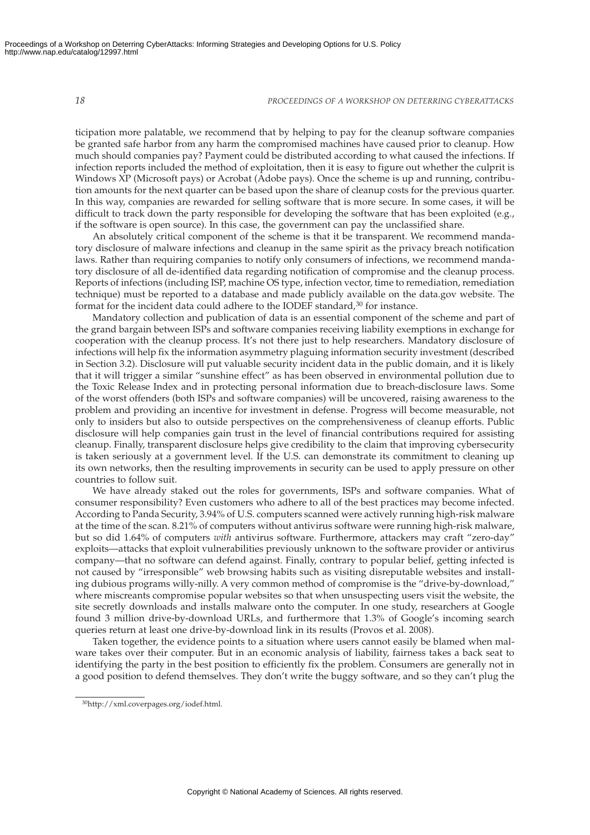ticipation more palatable, we recommend that by helping to pay for the cleanup software companies be granted safe harbor from any harm the compromised machines have caused prior to cleanup. How much should companies pay? Payment could be distributed according to what caused the infections. If infection reports included the method of exploitation, then it is easy to figure out whether the culprit is Windows XP (Microsoft pays) or Acrobat (Adobe pays). Once the scheme is up and running, contribution amounts for the next quarter can be based upon the share of cleanup costs for the previous quarter. In this way, companies are rewarded for selling software that is more secure. In some cases, it will be difficult to track down the party responsible for developing the software that has been exploited (e.g., if the software is open source). In this case, the government can pay the unclassified share.

An absolutely critical component of the scheme is that it be transparent. We recommend mandatory disclosure of malware infections and cleanup in the same spirit as the privacy breach notification laws. Rather than requiring companies to notify only consumers of infections, we recommend mandatory disclosure of all de-identified data regarding notification of compromise and the cleanup process. Reports of infections (including ISP, machine OS type, infection vector, time to remediation, remediation technique) must be reported to a database and made publicly available on the data.gov website. The format for the incident data could adhere to the IODEF standard,<sup>30</sup> for instance.

Mandatory collection and publication of data is an essential component of the scheme and part of the grand bargain between ISPs and software companies receiving liability exemptions in exchange for cooperation with the cleanup process. It's not there just to help researchers. Mandatory disclosure of infections will help fix the information asymmetry plaguing information security investment (described in Section 3.2). Disclosure will put valuable security incident data in the public domain, and it is likely that it will trigger a similar "sunshine effect" as has been observed in environmental pollution due to the Toxic Release Index and in protecting personal information due to breach-disclosure laws. Some of the worst offenders (both ISPs and software companies) will be uncovered, raising awareness to the problem and providing an incentive for investment in defense. Progress will become measurable, not only to insiders but also to outside perspectives on the comprehensiveness of cleanup efforts. Public disclosure will help companies gain trust in the level of financial contributions required for assisting cleanup. Finally, transparent disclosure helps give credibility to the claim that improving cybersecurity is taken seriously at a government level. If the U.S. can demonstrate its commitment to cleaning up its own networks, then the resulting improvements in security can be used to apply pressure on other countries to follow suit.

We have already staked out the roles for governments, ISPs and software companies. What of consumer responsibility? Even customers who adhere to all of the best practices may become infected. According to Panda Security, 3.94% of U.S. computers scanned were actively running high-risk malware at the time of the scan. 8.21% of computers without antivirus software were running high-risk malware, but so did 1.64% of computers *with* antivirus software. Furthermore, attackers may craft "zero-day" exploits—attacks that exploit vulnerabilities previously unknown to the software provider or antivirus company—that no software can defend against. Finally, contrary to popular belief, getting infected is not caused by "irresponsible" web browsing habits such as visiting disreputable websites and installing dubious programs willy-nilly. A very common method of compromise is the "drive-by-download," where miscreants compromise popular websites so that when unsuspecting users visit the website, the site secretly downloads and installs malware onto the computer. In one study, researchers at Google found 3 million drive-by-download URLs, and furthermore that 1.3% of Google's incoming search queries return at least one drive-by-download link in its results (Provos et al. 2008).

Taken together, the evidence points to a situation where users cannot easily be blamed when malware takes over their computer. But in an economic analysis of liability, fairness takes a back seat to identifying the party in the best position to efficiently fix the problem. Consumers are generally not in a good position to defend themselves. They don't write the buggy software, and so they can't plug the

<sup>30</sup>http://xml.coverpages.org/iodef.html.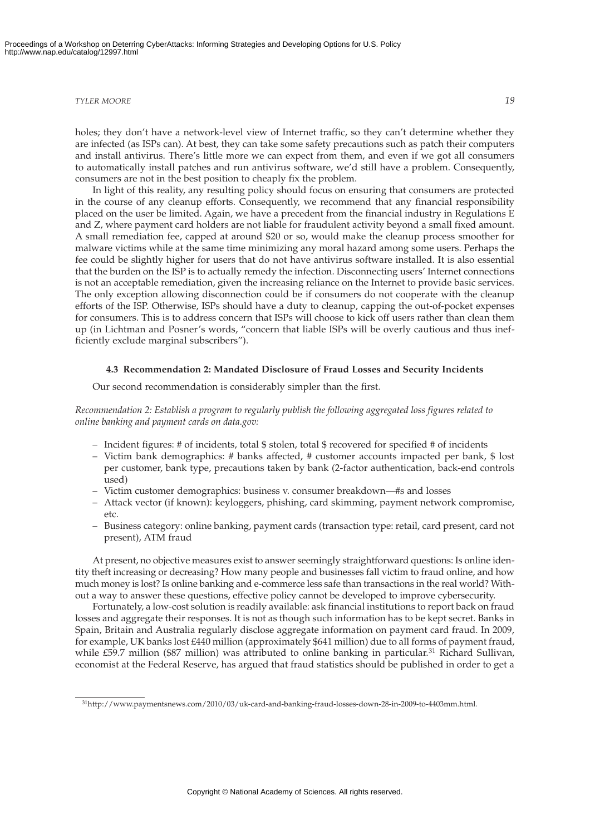holes; they don't have a network-level view of Internet traffic, so they can't determine whether they are infected (as ISPs can). At best, they can take some safety precautions such as patch their computers and install antivirus. There's little more we can expect from them, and even if we got all consumers to automatically install patches and run antivirus software, we'd still have a problem. Consequently, consumers are not in the best position to cheaply fix the problem.

In light of this reality, any resulting policy should focus on ensuring that consumers are protected in the course of any cleanup efforts. Consequently, we recommend that any financial responsibility placed on the user be limited. Again, we have a precedent from the financial industry in Regulations E and Z, where payment card holders are not liable for fraudulent activity beyond a small fixed amount. A small remediation fee, capped at around \$20 or so, would make the cleanup process smoother for malware victims while at the same time minimizing any moral hazard among some users. Perhaps the fee could be slightly higher for users that do not have antivirus software installed. It is also essential that the burden on the ISP is to actually remedy the infection. Disconnecting users' Internet connections is not an acceptable remediation, given the increasing reliance on the Internet to provide basic services. The only exception allowing disconnection could be if consumers do not cooperate with the cleanup efforts of the ISP. Otherwise, ISPs should have a duty to cleanup, capping the out-of-pocket expenses for consumers. This is to address concern that ISPs will choose to kick off users rather than clean them up (in Lichtman and Posner's words, "concern that liable ISPs will be overly cautious and thus inefficiently exclude marginal subscribers").

# **4.3 Recommendation 2: Mandated Disclosure of Fraud Losses and Security Incidents**

# Our second recommendation is considerably simpler than the first.

*Recommendation 2: Establish a program to regularly publish the following aggregated loss figures related to online banking and payment cards on data.gov:*

- Incident figures: # of incidents, total \$ stolen, total \$ recovered for specified # of incidents
- Victim bank demographics: # banks affected, # customer accounts impacted per bank, \$ lost per customer, bank type, precautions taken by bank (2-factor authentication, back-end controls used)
- Victim customer demographics: business v. consumer breakdown—#s and losses
- Attack vector (if known): keyloggers, phishing, card skimming, payment network compromise, etc.
- Business category: online banking, payment cards (transaction type: retail, card present, card not present), ATM fraud

At present, no objective measures exist to answer seemingly straightforward questions: Is online identity theft increasing or decreasing? How many people and businesses fall victim to fraud online, and how much money is lost? Is online banking and e-commerce less safe than transactions in the real world? Without a way to answer these questions, effective policy cannot be developed to improve cybersecurity.

Fortunately, a low-cost solution is readily available: ask financial institutions to report back on fraud losses and aggregate their responses. It is not as though such information has to be kept secret. Banks in Spain, Britain and Australia regularly disclose aggregate information on payment card fraud. In 2009, for example, UK banks lost £440 million (approximately \$641 million) due to all forms of payment fraud, while £59.7 million (\$87 million) was attributed to online banking in particular. <sup>31</sup> Richard Sullivan, economist at the Federal Reserve, has argued that fraud statistics should be published in order to get a

<sup>31</sup>http://www.paymentsnews.com/2010/03/uk-card-and-banking-fraud-losses-down-28-in-2009-to-4403mm.html.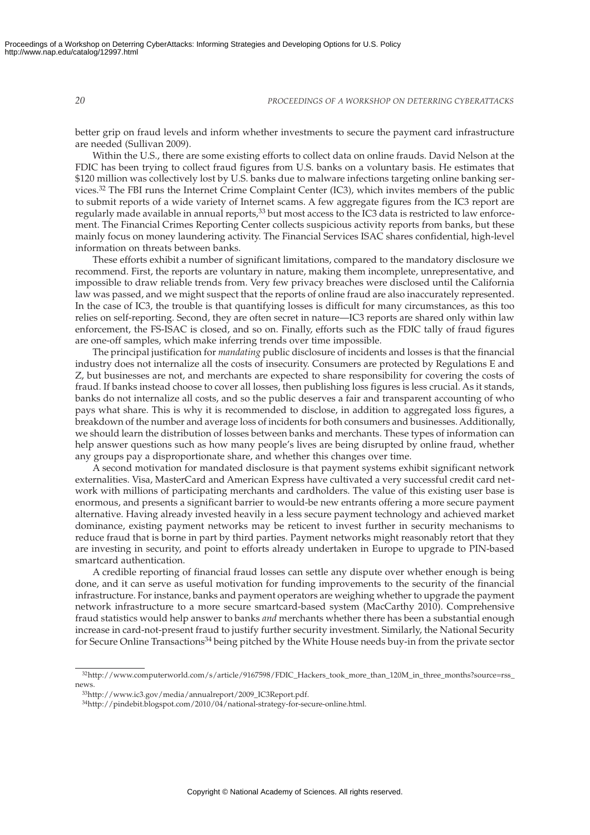better grip on fraud levels and inform whether investments to secure the payment card infrastructure are needed (Sullivan 2009).

Within the U.S., there are some existing efforts to collect data on online frauds. David Nelson at the FDIC has been trying to collect fraud figures from U.S. banks on a voluntary basis. He estimates that \$120 million was collectively lost by U.S. banks due to malware infections targeting online banking services. <sup>32</sup> The FBI runs the Internet Crime Complaint Center (IC3), which invites members of the public to submit reports of a wide variety of Internet scams. A few aggregate figures from the IC3 report are regularly made available in annual reports,<sup>33</sup> but most access to the IC3 data is restricted to law enforcement. The Financial Crimes Reporting Center collects suspicious activity reports from banks, but these mainly focus on money laundering activity. The Financial Services ISAC shares confidential, high-level information on threats between banks.

These efforts exhibit a number of significant limitations, compared to the mandatory disclosure we recommend. First, the reports are voluntary in nature, making them incomplete, unrepresentative, and impossible to draw reliable trends from. Very few privacy breaches were disclosed until the California law was passed, and we might suspect that the reports of online fraud are also inaccurately represented. In the case of IC3, the trouble is that quantifying losses is difficult for many circumstances, as this too relies on self-reporting. Second, they are often secret in nature—IC3 reports are shared only within law enforcement, the FS-ISAC is closed, and so on. Finally, efforts such as the FDIC tally of fraud figures are one-off samples, which make inferring trends over time impossible.

The principal justification for *mandating* public disclosure of incidents and losses is that the financial industry does not internalize all the costs of insecurity. Consumers are protected by Regulations E and Z, but businesses are not, and merchants are expected to share responsibility for covering the costs of fraud. If banks instead choose to cover all losses, then publishing loss figures is less crucial. As it stands, banks do not internalize all costs, and so the public deserves a fair and transparent accounting of who pays what share. This is why it is recommended to disclose, in addition to aggregated loss figures, a breakdown of the number and average loss of incidents for both consumers and businesses. Additionally, we should learn the distribution of losses between banks and merchants. These types of information can help answer questions such as how many people's lives are being disrupted by online fraud, whether any groups pay a disproportionate share, and whether this changes over time.

A second motivation for mandated disclosure is that payment systems exhibit significant network externalities. Visa, MasterCard and American Express have cultivated a very successful credit card network with millions of participating merchants and cardholders. The value of this existing user base is enormous, and presents a significant barrier to would-be new entrants offering a more secure payment alternative. Having already invested heavily in a less secure payment technology and achieved market dominance, existing payment networks may be reticent to invest further in security mechanisms to reduce fraud that is borne in part by third parties. Payment networks might reasonably retort that they are investing in security, and point to efforts already undertaken in Europe to upgrade to PIN-based smartcard authentication.

A credible reporting of financial fraud losses can settle any dispute over whether enough is being done, and it can serve as useful motivation for funding improvements to the security of the financial infrastructure. For instance, banks and payment operators are weighing whether to upgrade the payment network infrastructure to a more secure smartcard-based system (MacCarthy 2010). Comprehensive fraud statistics would help answer to banks *and* merchants whether there has been a substantial enough increase in card-not-present fraud to justify further security investment. Similarly, the National Security for Secure Online Transactions<sup>34</sup> being pitched by the White House needs buy-in from the private sector

<sup>32</sup>http://www.computerworld.com/s/article/9167598/FDIC\_Hackers\_took\_more\_than\_120M\_in\_three\_months?source=rss\_ news.

<sup>33</sup>http://www.ic3.gov/media/annualreport/2009\_IC3Report.pdf.

<sup>34</sup>http://pindebit.blogspot.com/2010/04/national-strategy-for-secure-online.html.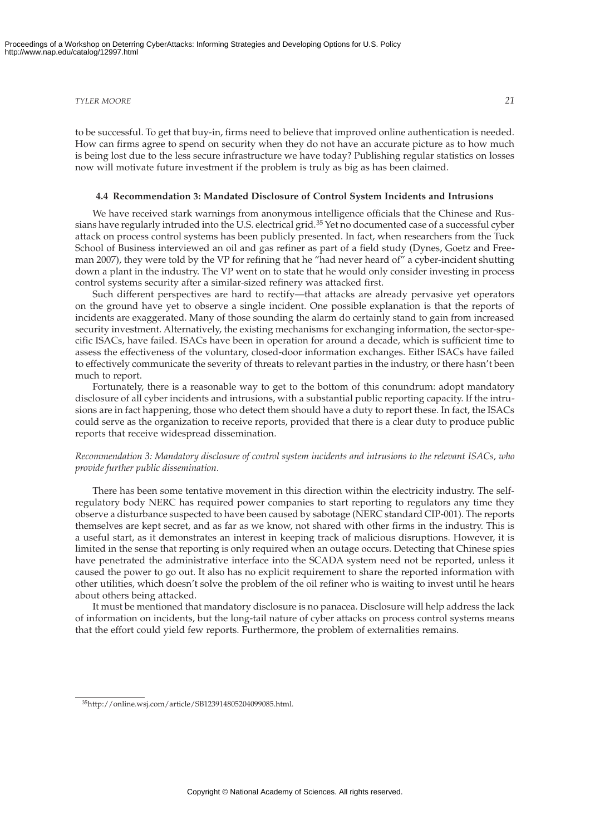to be successful. To get that buy-in, firms need to believe that improved online authentication is needed. How can firms agree to spend on security when they do not have an accurate picture as to how much is being lost due to the less secure infrastructure we have today? Publishing regular statistics on losses now will motivate future investment if the problem is truly as big as has been claimed.

## **4.4 Recommendation 3: Mandated Disclosure of Control System Incidents and Intrusions**

We have received stark warnings from anonymous intelligence officials that the Chinese and Russians have regularly intruded into the U.S. electrical grid. <sup>35</sup> Yet no documented case of a successful cyber attack on process control systems has been publicly presented. In fact, when researchers from the Tuck School of Business interviewed an oil and gas refiner as part of a field study (Dynes, Goetz and Freeman 2007), they were told by the VP for refining that he "had never heard of" a cyber-incident shutting down a plant in the industry. The VP went on to state that he would only consider investing in process control systems security after a similar-sized refinery was attacked first.

Such different perspectives are hard to rectify—that attacks are already pervasive yet operators on the ground have yet to observe a single incident. One possible explanation is that the reports of incidents are exaggerated. Many of those sounding the alarm do certainly stand to gain from increased security investment. Alternatively, the existing mechanisms for exchanging information, the sector-specific ISACs, have failed. ISACs have been in operation for around a decade, which is sufficient time to assess the effectiveness of the voluntary, closed-door information exchanges. Either ISACs have failed to effectively communicate the severity of threats to relevant parties in the industry, or there hasn't been much to report.

Fortunately, there is a reasonable way to get to the bottom of this conundrum: adopt mandatory disclosure of all cyber incidents and intrusions, with a substantial public reporting capacity. If the intrusions are in fact happening, those who detect them should have a duty to report these. In fact, the ISACs could serve as the organization to receive reports, provided that there is a clear duty to produce public reports that receive widespread dissemination.

# *Recommendation 3: Mandatory disclosure of control system incidents and intrusions to the relevant ISACs, who provide further public dissemination.*

There has been some tentative movement in this direction within the electricity industry. The selfregulatory body NERC has required power companies to start reporting to regulators any time they observe a disturbance suspected to have been caused by sabotage (NERC standard CIP-001). The reports themselves are kept secret, and as far as we know, not shared with other firms in the industry. This is a useful start, as it demonstrates an interest in keeping track of malicious disruptions. However, it is limited in the sense that reporting is only required when an outage occurs. Detecting that Chinese spies have penetrated the administrative interface into the SCADA system need not be reported, unless it caused the power to go out. It also has no explicit requirement to share the reported information with other utilities, which doesn't solve the problem of the oil refiner who is waiting to invest until he hears about others being attacked.

It must be mentioned that mandatory disclosure is no panacea. Disclosure will help address the lack of information on incidents, but the long-tail nature of cyber attacks on process control systems means that the effort could yield few reports. Furthermore, the problem of externalities remains.

<sup>35</sup>http://online.wsj.com/article/SB123914805204099085.html.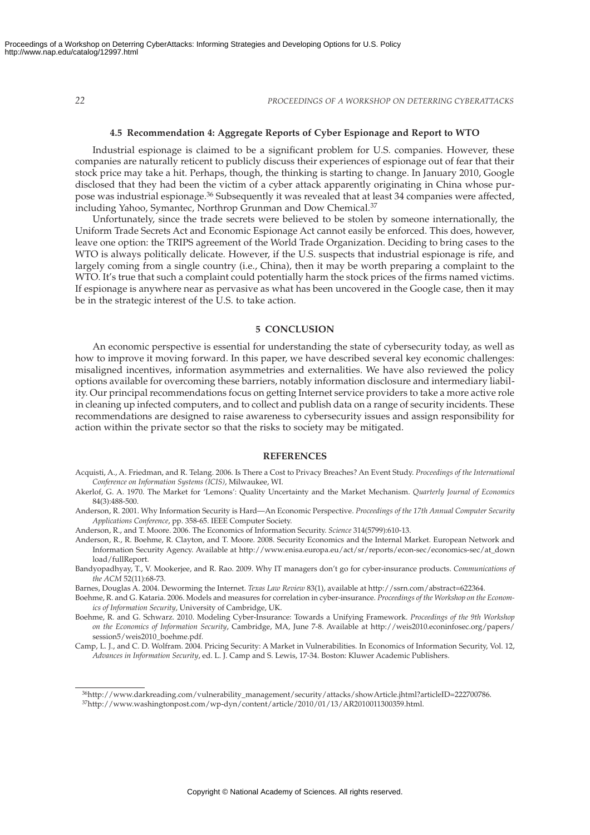## **4.5 Recommendation 4: Aggregate Reports of Cyber Espionage and Report to WTO**

Industrial espionage is claimed to be a significant problem for U.S. companies. However, these companies are naturally reticent to publicly discuss their experiences of espionage out of fear that their stock price may take a hit. Perhaps, though, the thinking is starting to change. In January 2010, Google disclosed that they had been the victim of a cyber attack apparently originating in China whose purpose was industrial espionage. <sup>36</sup> Subsequently it was revealed that at least 34 companies were affected, including Yahoo, Symantec, Northrop Grunman and Dow Chemical. 37

Unfortunately, since the trade secrets were believed to be stolen by someone internationally, the Uniform Trade Secrets Act and Economic Espionage Act cannot easily be enforced. This does, however, leave one option: the TRIPS agreement of the World Trade Organization. Deciding to bring cases to the WTO is always politically delicate. However, if the U.S. suspects that industrial espionage is rife, and largely coming from a single country (i.e., China), then it may be worth preparing a complaint to the WTO. It's true that such a complaint could potentially harm the stock prices of the firms named victims. If espionage is anywhere near as pervasive as what has been uncovered in the Google case, then it may be in the strategic interest of the U.S. to take action.

## **5 CONCLUSION**

An economic perspective is essential for understanding the state of cybersecurity today, as well as how to improve it moving forward. In this paper, we have described several key economic challenges: misaligned incentives, information asymmetries and externalities. We have also reviewed the policy options available for overcoming these barriers, notably information disclosure and intermediary liability. Our principal recommendations focus on getting Internet service providers to take a more active role in cleaning up infected computers, and to collect and publish data on a range of security incidents. These recommendations are designed to raise awareness to cybersecurity issues and assign responsibility for action within the private sector so that the risks to society may be mitigated.

## **REFERENCES**

- Acquisti, A., A. Friedman, and R. Telang. 2006. Is There a Cost to Privacy Breaches? An Event Study. *Proceedings of the International Conference on Information Systems (ICIS)*, Milwaukee, WI.
- Akerlof, G. A. 1970. The Market for 'Lemons': Quality Uncertainty and the Market Mechanism. *Quarterly Journal of Economics* 84(3):488-500.
- Anderson, R. 2001. Why Information Security is Hard—An Economic Perspective. *Proceedings of the 17th Annual Computer Security Applications Conference*, pp. 358-65. IEEE Computer Society.

Anderson, R., and T. Moore. 2006. The Economics of Information Security. *Science* 314(5799):610-13.

Anderson, R., R. Boehme, R. Clayton, and T. Moore. 2008. Security Economics and the Internal Market. European Network and Information Security Agency. Available at http://www.enisa.europa.eu/act/sr/reports/econ-sec/economics-sec/at\_down load/fullReport.

Bandyopadhyay, T., V. Mookerjee, and R. Rao. 2009. Why IT managers don't go for cyber-insurance products. *Communications of the ACM* 52(11):68-73.

Barnes, Douglas A. 2004. Deworming the Internet. *Texas Law Review* 83(1), available at http://ssrn.com/abstract=622364.

- Boehme, R. and G. Kataria. 2006. Models and measures for correlation in cyber-insurance. *Proceedings of the Workshop on the Economics of Information Security*, University of Cambridge, UK.
- Boehme, R. and G. Schwarz. 2010. Modeling Cyber-Insurance: Towards a Unifying Framework. *Proceedings of the 9th Workshop on the Economics of Information Security*, Cambridge, MA, June 7-8. Available at http://weis2010.econinfosec.org/papers/ session5/weis2010\_boehme.pdf.

Camp, L. J., and C. D. Wolfram. 2004. Pricing Security: A Market in Vulnerabilities. In Economics of Information Security, Vol. 12, *Advances in Information Security*, ed. L. J. Camp and S. Lewis, 17-34. Boston: Kluwer Academic Publishers.

<sup>36</sup>http://www.darkreading.com/vulnerability\_management/security/attacks/showArticle.jhtml?articleID=222700786. 37http://www.washingtonpost.com/wp-dyn/content/article/2010/01/13/AR2010011300359.html.